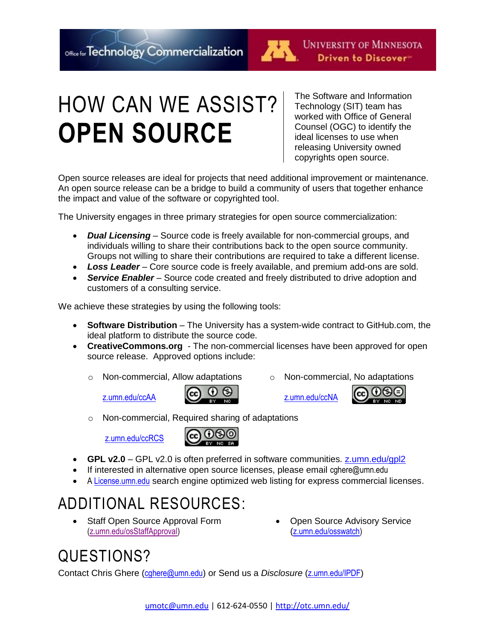

# HOW CAN WE ASSIST? **OPEN SOURCE**

The Software and Information Technology (SIT) team has worked with Office of General Counsel (OGC) to identify the ideal licenses to use when releasing University owned copyrights open source.

Open source releases are ideal for projects that need additional improvement or maintenance. An open source release can be a bridge to build a community of users that together enhance the impact and value of the software or copyrighted tool.

The University engages in three primary strategies for open source commercialization:

- *Dual Licensing* Source code is freely available for non-commercial groups, and individuals willing to share their contributions back to the open source community. Groups not willing to share their contributions are required to take a different license.
- *Loss Leader* Core source code is freely available, and premium add-ons are sold.
- *Service Enabler*  Source code created and freely distributed to drive adoption and customers of a consulting service.

We achieve these strategies by using the following tools:

- **Software Distribution**  The University has a system-wide contract to GitHub.com, the ideal platform to distribute the source code.
- **CreativeCommons.org**  The non-commercial licenses have been approved for open source release. Approved options include:
	- o Non-commercial, Allow adaptations
- o Non-commercial, No adaptations

[z.umn.edu/ccAA](http://z.umn.edu/ccAA)



[z.umn.edu/ccNA](http://z.umn.edu/ccNA)



o Non-commercial, Required sharing of adaptations

[z.umn.edu/ccRCS](http://z.umn.edu/ccRCS)



- **GPL v2.0** GPL v2.0 is often preferred in software communities.<z.umn.edu/gpl2>
- If interested in alternative open source licenses, please email cghere@umn.edu
- A License umn edu search engine optimized web listing for express commercial licenses.

## ADDITIONAL RESOURCES:

- Staff Open Source Approval Form [\(z.umn.edu/osStaffApproval\)](http://z.umn.edu/osStaffApproval)
- Open Source Advisory Service ([z.umn.edu/osswatch\)](http://z.umn.edu/osswatch)

## QUESTIONS?

Contact Chris Ghere ([cghere@umn.edu](mailto:cghere@umn.edu)) or Send us a *Disclosure* ([z.umn.edu/IPDF](http://z.umn.edu/IPDF))